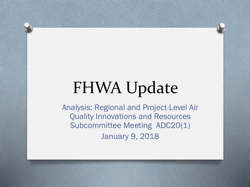#### FHWA Update

Analysis: Regional and Project-Level Air Quality Innovations and Resources Subcommittee Meeting ADC20(1) January 9, 2018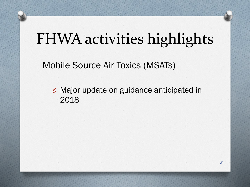Mobile Source Air Toxics (MSATs)

*O* Major update on guidance anticipated in 2018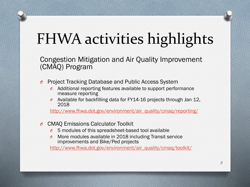Congestion Mitigation and Air Quality Improvement (CMAQ) Program

- *O* Project Tracking Database and Public Access System
	- *O* Additional reporting features available to support performance measure reporting
	- *O* Available for backfilling data for FY14-16 projects through Jan 12, 2018

[http://www.fhwa.dot.gov/environment/air\\_quality/cmaq/reporting/](http://www.fhwa.dot.gov/environment/air_quality/cmaq/reporting/)

- *O* CMAQ Emissions Calculator Toolkit
	- *O* 5 modules of this spreadsheet-based tool available
	- More modules available in 2018 including Transit service improvements and Bike/Ped projects

[http://www.fhwa.dot.gov/environment/air\\_quality/cmaq/toolkit/](http://www.fhwa.dot.gov/environment/air_quality/cmaq/toolkit/)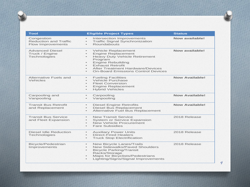**Tool Eligible Project Types Status** Congestion Reduction and Traffic Flow Improvements Intersection Improvements • Traffic Signal Synchronization • Roundabouts **Now available!** Advanced Diesel Truck / Engine **Technologies** • Vehicle Replacement • Engine Replacement • Heavy Duty Vehicle Retirement Program • Engine Rebuilding **Exhaust Retrofit** • After Treatment Hardware/Devices<br>• On-Board Emissions Control Device • On-Board Emissions Control Devices **Now available!** Alternative Fuels and Vehicles • Fueling Facilities • Vehicle Purchase **Fleet Conversion** • Engine Replacement • Hybrid Vehicles **Now Available!** Carpooling and Vanpooling • Carpooling<br>• Vannooling • Vanpooling **Now Available!** Transit Bus Retrofit and Replacement • Diesel Engine Retrofits • Diesel Bus Replacement • Alternative Fuel Bus Replacement **Now Available!** Transit Bus Service and Fleet Expansion • New Transit Service • System or Service Expansion **New Vehicle Procurement** • Fare Subsidies 2018 Release Diesel Idle Reduction **Technologies** • Auxiliary Power Units • Direct-Fired Heaters • Truck Stop Electrification 2018 Release Bicycle/Pedestrian Improvements • New Bicycle Lanes/Trails • New Sidewalks/Paved Shoulders<br>• Bicycle Parking/Transit • Bicycle Parking/Transit Racks/Storage • Maps for Bicyclists/Pedestrians • Lighting/Signs/Signal Improvements 2018 Release

*4*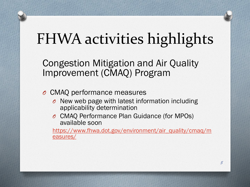Congestion Mitigation and Air Quality Improvement (CMAQ) Program

- *O* CMAQ performance measures
	- *O* New web page with latest information including applicability determination
	- *O* CMAQ Performance Plan Guidance (for MPOs) available soon

[https://www.fhwa.dot.gov/environment/air\\_quality/cmaq/m](https://www.fhwa.dot.gov/environment/air_quality/cmaq/measures/) easures/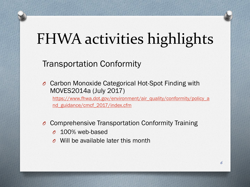#### Transportation Conformity

*O* Carbon Monoxide Categorical Hot-Spot Finding with MOVES2014a (July 2017)

[https://www.fhwa.dot.gov/environment/air\\_quality/conformity/policy\\_a](https://www.fhwa.dot.gov/environment/air_quality/conformity/policy_and_guidance/cmcf_2017/index.cfm) nd\_guidance/cmcf\_2017/index.cfm

- *O* Comprehensive Transportation Conformity Training
	- *O* 100% web-based
	- *O* Will be available later this month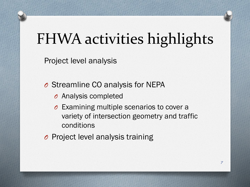Project level analysis

- *O* Streamline CO analysis for NEPA
	- *O* Analysis completed
	- *O* Examining multiple scenarios to cover a variety of intersection geometry and traffic conditions
- *O* Project level analysis training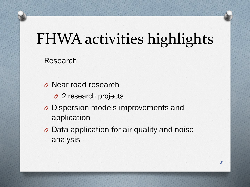Research

- *O* Near road research
	- *O* 2 research projects
- *O* Dispersion models improvements and application
- *O* Data application for air quality and noise analysis